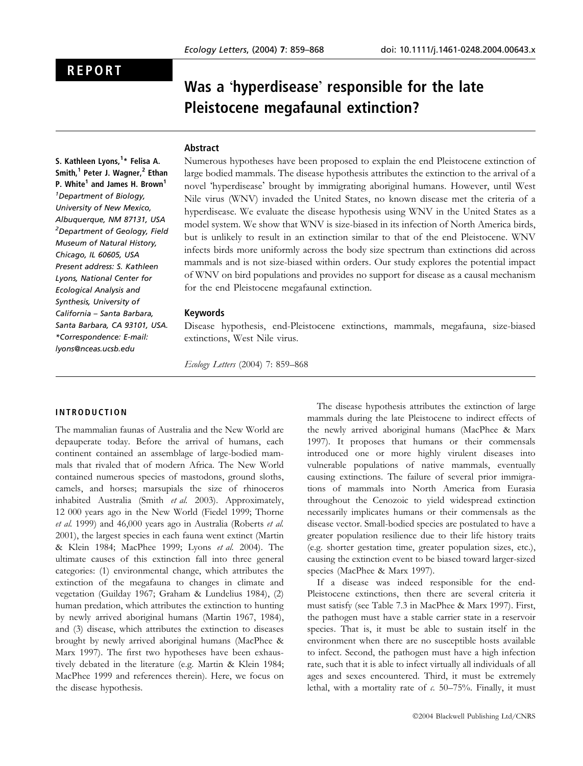# REPORT

# Was a 'hyperdisease' responsible for the late Pleistocene megafaunal extinction?

#### Abstract

S. Kathleen Lyons,<sup>1</sup>\* Felisa A. Smith,<sup>1</sup> Peter J. Wagner,<sup>2</sup> Ethan P. White<sup>1</sup> and James H. Brown<sup>1</sup> 1 Department of Biology, University of New Mexico, Albuquerque, NM 87131, USA <sup>2</sup>Department of Geology, Field Museum of Natural History, Chicago, IL 60605, USA Present address: S. Kathleen Lyons, National Center for Ecological Analysis and Synthesis, University of California – Santa Barbara, Santa Barbara, CA 93101, USA. \*Correspondence: E-mail: lyons@nceas.ucsb.edu

Numerous hypotheses have been proposed to explain the end Pleistocene extinction of large bodied mammals. The disease hypothesis attributes the extinction to the arrival of a novel 'hyperdisease' brought by immigrating aboriginal humans. However, until West Nile virus (WNV) invaded the United States, no known disease met the criteria of a hyperdisease. We evaluate the disease hypothesis using WNV in the United States as a model system. We show that WNV is size-biased in its infection of North America birds, but is unlikely to result in an extinction similar to that of the end Pleistocene. WNV infects birds more uniformly across the body size spectrum than extinctions did across mammals and is not size-biased within orders. Our study explores the potential impact of WNV on bird populations and provides no support for disease as a causal mechanism for the end Pleistocene megafaunal extinction.

# Keywords

Disease hypothesis, end-Pleistocene extinctions, mammals, megafauna, size-biased extinctions, West Nile virus.

Ecology Letters (2004) 7: 859–868

#### INTRODUCTION

The mammalian faunas of Australia and the New World are depauperate today. Before the arrival of humans, each continent contained an assemblage of large-bodied mammals that rivaled that of modern Africa. The New World contained numerous species of mastodons, ground sloths, camels, and horses; marsupials the size of rhinoceros inhabited Australia (Smith et al. 2003). Approximately, 12 000 years ago in the New World (Fiedel 1999; Thorne et al. 1999) and 46,000 years ago in Australia (Roberts et al. 2001), the largest species in each fauna went extinct (Martin & Klein 1984; MacPhee 1999; Lyons et al. 2004). The ultimate causes of this extinction fall into three general categories: (1) environmental change, which attributes the extinction of the megafauna to changes in climate and vegetation (Guilday 1967; Graham & Lundelius 1984), (2) human predation, which attributes the extinction to hunting by newly arrived aboriginal humans (Martin 1967, 1984), and (3) disease, which attributes the extinction to diseases brought by newly arrived aboriginal humans (MacPhee & Marx 1997). The first two hypotheses have been exhaustively debated in the literature (e.g. Martin & Klein 1984; MacPhee 1999 and references therein). Here, we focus on the disease hypothesis.

The disease hypothesis attributes the extinction of large mammals during the late Pleistocene to indirect effects of the newly arrived aboriginal humans (MacPhee & Marx 1997). It proposes that humans or their commensals introduced one or more highly virulent diseases into vulnerable populations of native mammals, eventually causing extinctions. The failure of several prior immigrations of mammals into North America from Eurasia throughout the Cenozoic to yield widespread extinction necessarily implicates humans or their commensals as the disease vector. Small-bodied species are postulated to have a greater population resilience due to their life history traits (e.g. shorter gestation time, greater population sizes, etc.), causing the extinction event to be biased toward larger-sized species (MacPhee & Marx 1997).

If a disease was indeed responsible for the end-Pleistocene extinctions, then there are several criteria it must satisfy (see Table 7.3 in MacPhee & Marx 1997). First, the pathogen must have a stable carrier state in a reservoir species. That is, it must be able to sustain itself in the environment when there are no susceptible hosts available to infect. Second, the pathogen must have a high infection rate, such that it is able to infect virtually all individuals of all ages and sexes encountered. Third, it must be extremely lethal, with a mortality rate of  $\alpha$  50–75%. Finally, it must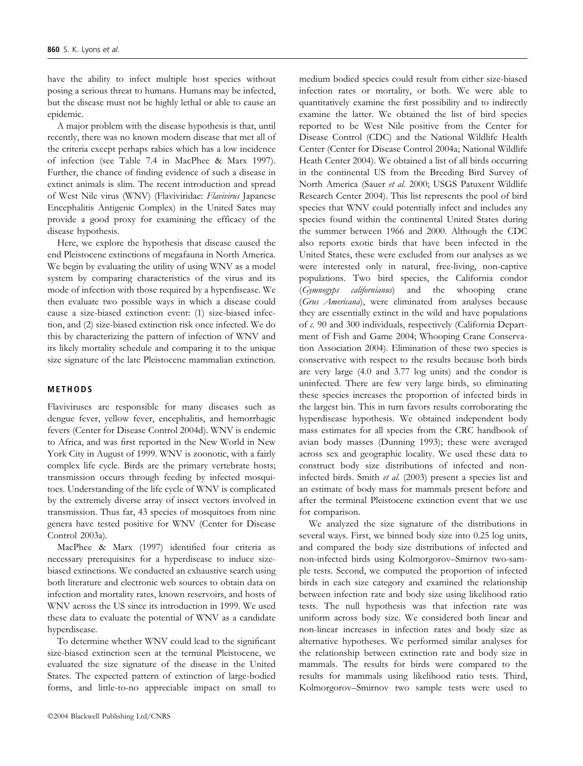have the ability to infect multiple host species without posing a serious threat to humans. Humans may be infected, but the disease must not be highly lethal or able to cause an epidemic.

A major problem with the disease hypothesis is that, until recently, there was no known modern disease that met all of the criteria except perhaps rabies which has a low incidence of infection (see Table 7.4 in MacPhee & Marx 1997). Further, the chance of finding evidence of such a disease in extinct animals is slim. The recent introduction and spread of West Nile virus (WNV) (Flaviviridae: Flavivirus Japanese Encephalitis Antigenic Complex) in the United Sates may provide a good proxy for examining the efficacy of the disease hypothesis.

Here, we explore the hypothesis that disease caused the end Pleistocene extinctions of megafauna in North America. We begin by evaluating the utility of using WNV as a model system by comparing characteristics of the virus and its mode of infection with those required by a hyperdisease. We then evaluate two possible ways in which a disease could cause a size-biased extinction event: (1) size-biased infection, and (2) size-biased extinction risk once infected. We do this by characterizing the pattern of infection of WNV and its likely mortality schedule and comparing it to the unique size signature of the late Pleistocene mammalian extinction.

#### METHODS

Flaviviruses are responsible for many diseases such as dengue fever, yellow fever, encephalitis, and hemorrhagic fevers (Center for Disease Control 2004d). WNV is endemic to Africa, and was first reported in the New World in New York City in August of 1999. WNV is zoonotic, with a fairly complex life cycle. Birds are the primary vertebrate hosts; transmission occurs through feeding by infected mosquitoes. Understanding of the life cycle of WNV is complicated by the extremely diverse array of insect vectors involved in transmission. Thus far, 43 species of mosquitoes from nine genera have tested positive for WNV (Center for Disease Control 2003a).

MacPhee & Marx (1997) identified four criteria as necessary prerequisites for a hyperdisease to induce sizebiased extinctions. We conducted an exhaustive search using both literature and electronic web sources to obtain data on infection and mortality rates, known reservoirs, and hosts of WNV across the US since its introduction in 1999. We used these data to evaluate the potential of WNV as a candidate hyperdisease.

To determine whether WNV could lead to the significant size-biased extinction seen at the terminal Pleistocene, we evaluated the size signature of the disease in the United States. The expected pattern of extinction of large-bodied forms, and little-to-no appreciable impact on small to

medium bodied species could result from either size-biased infection rates or mortality, or both. We were able to quantitatively examine the first possibility and to indirectly examine the latter. We obtained the list of bird species reported to be West Nile positive from the Center for Disease Control (CDC) and the National Wildlife Health Center (Center for Disease Control 2004a; National Wildlife Heath Center 2004). We obtained a list of all birds occurring in the continental US from the Breeding Bird Survey of North America (Sauer et al. 2000; USGS Patuxent Wildlife Research Center 2004). This list represents the pool of bird species that WNV could potentially infect and includes any species found within the continental United States during the summer between 1966 and 2000. Although the CDC also reports exotic birds that have been infected in the United States, these were excluded from our analyses as we were interested only in natural, free-living, non-captive populations. Two bird species, the California condor (Gymnogyps californianus) and the whooping crane (Grus Americana), were eliminated from analyses because they are essentially extinct in the wild and have populations of c. 90 and 300 individuals, respectively (California Department of Fish and Game 2004; Whooping Crane Conservation Association 2004). Elimination of these two species is conservative with respect to the results because both birds are very large (4.0 and 3.77 log units) and the condor is uninfected. There are few very large birds, so eliminating these species increases the proportion of infected birds in the largest bin. This in turn favors results corroborating the hyperdisease hypothesis. We obtained independent body mass estimates for all species from the CRC handbook of avian body masses (Dunning 1993); these were averaged across sex and geographic locality. We used these data to construct body size distributions of infected and noninfected birds. Smith et al. (2003) present a species list and an estimate of body mass for mammals present before and after the terminal Pleistocene extinction event that we use for comparison.

We analyzed the size signature of the distributions in several ways. First, we binned body size into 0.25 log units, and compared the body size distributions of infected and non-infected birds using Kolmorgorov–Smirnov two-sample tests. Second, we computed the proportion of infected birds in each size category and examined the relationship between infection rate and body size using likelihood ratio tests. The null hypothesis was that infection rate was uniform across body size. We considered both linear and non-linear increases in infection rates and body size as alternative hypotheses. We performed similar analyses for the relationship between extinction rate and body size in mammals. The results for birds were compared to the results for mammals using likelihood ratio tests. Third, Kolmorgorov–Smirnov two sample tests were used to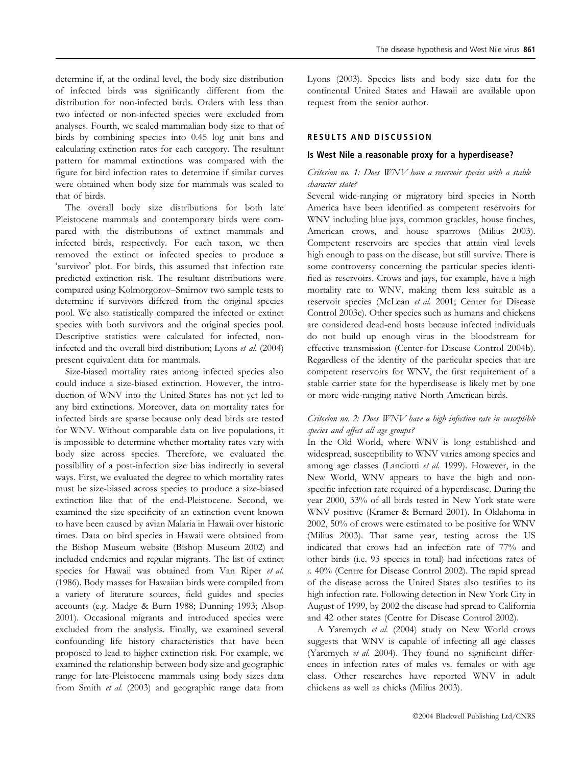determine if, at the ordinal level, the body size distribution of infected birds was significantly different from the distribution for non-infected birds. Orders with less than two infected or non-infected species were excluded from analyses. Fourth, we scaled mammalian body size to that of birds by combining species into 0.45 log unit bins and calculating extinction rates for each category. The resultant pattern for mammal extinctions was compared with the figure for bird infection rates to determine if similar curves were obtained when body size for mammals was scaled to that of birds.

The overall body size distributions for both late Pleistocene mammals and contemporary birds were compared with the distributions of extinct mammals and infected birds, respectively. For each taxon, we then removed the extinct or infected species to produce a 'survivor' plot. For birds, this assumed that infection rate predicted extinction risk. The resultant distributions were compared using Kolmorgorov–Smirnov two sample tests to determine if survivors differed from the original species pool. We also statistically compared the infected or extinct species with both survivors and the original species pool. Descriptive statistics were calculated for infected, noninfected and the overall bird distribution; Lyons et al. (2004) present equivalent data for mammals.

Size-biased mortality rates among infected species also could induce a size-biased extinction. However, the introduction of WNV into the United States has not yet led to any bird extinctions. Moreover, data on mortality rates for infected birds are sparse because only dead birds are tested for WNV. Without comparable data on live populations, it is impossible to determine whether mortality rates vary with body size across species. Therefore, we evaluated the possibility of a post-infection size bias indirectly in several ways. First, we evaluated the degree to which mortality rates must be size-biased across species to produce a size-biased extinction like that of the end-Pleistocene. Second, we examined the size specificity of an extinction event known to have been caused by avian Malaria in Hawaii over historic times. Data on bird species in Hawaii were obtained from the Bishop Museum website (Bishop Museum 2002) and included endemics and regular migrants. The list of extinct species for Hawaii was obtained from Van Riper et al. (1986). Body masses for Hawaiian birds were compiled from a variety of literature sources, field guides and species accounts (e.g. Madge & Burn 1988; Dunning 1993; Alsop 2001). Occasional migrants and introduced species were excluded from the analysis. Finally, we examined several confounding life history characteristics that have been proposed to lead to higher extinction risk. For example, we examined the relationship between body size and geographic range for late-Pleistocene mammals using body sizes data from Smith et al. (2003) and geographic range data from

The disease hypothesis and West Nile virus 861

Lyons (2003). Species lists and body size data for the continental United States and Hawaii are available upon request from the senior author.

### RESULTS AND DISCUSSION

#### Is West Nile a reasonable proxy for a hyperdisease?

## Criterion no. 1: Does WNV have a reservoir species with a stable character state?

Several wide-ranging or migratory bird species in North America have been identified as competent reservoirs for WNV including blue jays, common grackles, house finches, American crows, and house sparrows (Milius 2003). Competent reservoirs are species that attain viral levels high enough to pass on the disease, but still survive. There is some controversy concerning the particular species identified as reservoirs. Crows and jays, for example, have a high mortality rate to WNV, making them less suitable as a reservoir species (McLean et al. 2001; Center for Disease Control 2003c). Other species such as humans and chickens are considered dead-end hosts because infected individuals do not build up enough virus in the bloodstream for effective transmission (Center for Disease Control 2004b). Regardless of the identity of the particular species that are competent reservoirs for WNV, the first requirement of a stable carrier state for the hyperdisease is likely met by one or more wide-ranging native North American birds.

# Criterion no. 2: Does WNV have a high infection rate in susceptible species and affect all age groups?

In the Old World, where WNV is long established and widespread, susceptibility to WNV varies among species and among age classes (Lanciotti et al. 1999). However, in the New World, WNV appears to have the high and nonspecific infection rate required of a hyperdisease. During the year 2000, 33% of all birds tested in New York state were WNV positive (Kramer & Bernard 2001). In Oklahoma in 2002, 50% of crows were estimated to be positive for WNV (Milius 2003). That same year, testing across the US indicated that crows had an infection rate of 77% and other birds (i.e. 93 species in total) had infections rates of c. 40% (Centre for Disease Control 2002). The rapid spread of the disease across the United States also testifies to its high infection rate. Following detection in New York City in August of 1999, by 2002 the disease had spread to California and 42 other states (Centre for Disease Control 2002).

A Yaremych et al. (2004) study on New World crows suggests that WNV is capable of infecting all age classes (Yaremych et al. 2004). They found no significant differences in infection rates of males vs. females or with age class. Other researches have reported WNV in adult chickens as well as chicks (Milius 2003).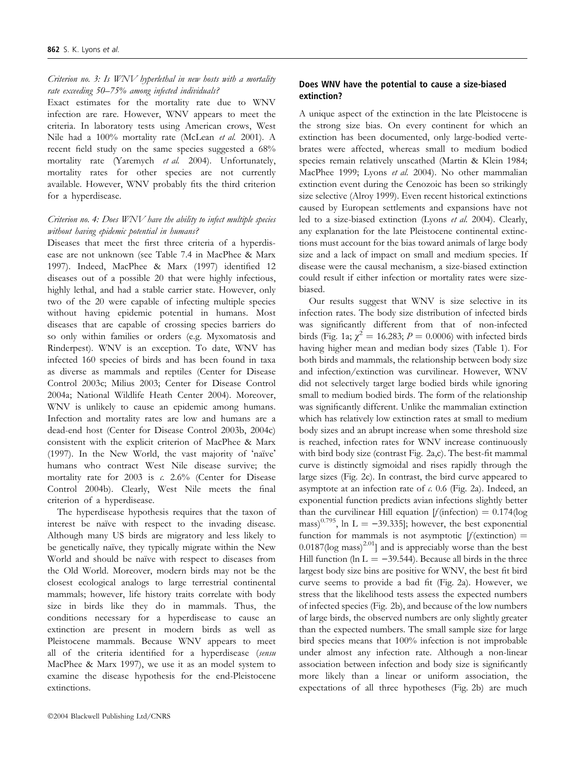### Criterion no. 3: Is WNV hyperlethal in new hosts with a mortality rate exceeding 50–75% among infected individuals?

Exact estimates for the mortality rate due to WNV infection are rare. However, WNV appears to meet the criteria. In laboratory tests using American crows, West Nile had a 100% mortality rate (McLean et al. 2001). A recent field study on the same species suggested a 68% mortality rate (Yaremych et al. 2004). Unfortunately, mortality rates for other species are not currently available. However, WNV probably fits the third criterion for a hyperdisease.

# Criterion no. 4: Does WNV have the ability to infect multiple species without having epidemic potential in humans?

Diseases that meet the first three criteria of a hyperdisease are not unknown (see Table 7.4 in MacPhee & Marx 1997). Indeed, MacPhee & Marx (1997) identified 12 diseases out of a possible 20 that were highly infectious, highly lethal, and had a stable carrier state. However, only two of the 20 were capable of infecting multiple species without having epidemic potential in humans. Most diseases that are capable of crossing species barriers do so only within families or orders (e.g. Myxomatosis and Rinderpest). WNV is an exception. To date, WNV has infected 160 species of birds and has been found in taxa as diverse as mammals and reptiles (Center for Disease Control 2003c; Milius 2003; Center for Disease Control 2004a; National Wildlife Heath Center 2004). Moreover, WNV is unlikely to cause an epidemic among humans. Infection and mortality rates are low and humans are a dead-end host (Center for Disease Control 2003b, 2004c) consistent with the explicit criterion of MacPhee & Marx (1997). In the New World, the vast majority of 'naïve' humans who contract West Nile disease survive; the mortality rate for 2003 is c. 2.6% (Center for Disease Control 2004b). Clearly, West Nile meets the final criterion of a hyperdisease.

The hyperdisease hypothesis requires that the taxon of interest be naïve with respect to the invading disease. Although many US birds are migratory and less likely to be genetically naïve, they typically migrate within the New World and should be naïve with respect to diseases from the Old World. Moreover, modern birds may not be the closest ecological analogs to large terrestrial continental mammals; however, life history traits correlate with body size in birds like they do in mammals. Thus, the conditions necessary for a hyperdisease to cause an extinction are present in modern birds as well as Pleistocene mammals. Because WNV appears to meet all of the criteria identified for a hyperdisease (sensu MacPhee & Marx 1997), we use it as an model system to examine the disease hypothesis for the end-Pleistocene extinctions.

# Does WNV have the potential to cause a size-biased extinction?

A unique aspect of the extinction in the late Pleistocene is the strong size bias. On every continent for which an extinction has been documented, only large-bodied vertebrates were affected, whereas small to medium bodied species remain relatively unscathed (Martin & Klein 1984; MacPhee 1999; Lyons et al. 2004). No other mammalian extinction event during the Cenozoic has been so strikingly size selective (Alroy 1999). Even recent historical extinctions caused by European settlements and expansions have not led to a size-biased extinction (Lyons et al. 2004). Clearly, any explanation for the late Pleistocene continental extinctions must account for the bias toward animals of large body size and a lack of impact on small and medium species. If disease were the causal mechanism, a size-biased extinction could result if either infection or mortality rates were sizebiased.

Our results suggest that WNV is size selective in its infection rates. The body size distribution of infected birds was significantly different from that of non-infected birds (Fig. 1a;  $\chi^2 = 16.283$ ;  $P = 0.0006$ ) with infected birds having higher mean and median body sizes (Table 1). For both birds and mammals, the relationship between body size and infection/extinction was curvilinear. However, WNV did not selectively target large bodied birds while ignoring small to medium bodied birds. The form of the relationship was significantly different. Unlike the mammalian extinction which has relatively low extinction rates at small to medium body sizes and an abrupt increase when some threshold size is reached, infection rates for WNV increase continuously with bird body size (contrast Fig. 2a,c). The best-fit mammal curve is distinctly sigmoidal and rises rapidly through the large sizes (Fig. 2c). In contrast, the bird curve appeared to asymptote at an infection rate of  $c$ . 0.6 (Fig. 2a). Indeed, an exponential function predicts avian infections slightly better than the curvilinear Hill equation  $[f(\text{infection})] = 0.174(\log$ mass)<sup>0.795</sup>, ln L = -39.335]; however, the best exponential function for mammals is not asymptotic  $[f$  (extinction) =  $0.0187$ (log mass)<sup>2.01</sup>] and is appreciably worse than the best Hill function (ln  $L = -39.544$ ). Because all birds in the three largest body size bins are positive for WNV, the best fit bird curve seems to provide a bad fit (Fig. 2a). However, we stress that the likelihood tests assess the expected numbers of infected species (Fig. 2b), and because of the low numbers of large birds, the observed numbers are only slightly greater than the expected numbers. The small sample size for large bird species means that 100% infection is not improbable under almost any infection rate. Although a non-linear association between infection and body size is significantly more likely than a linear or uniform association, the expectations of all three hypotheses (Fig. 2b) are much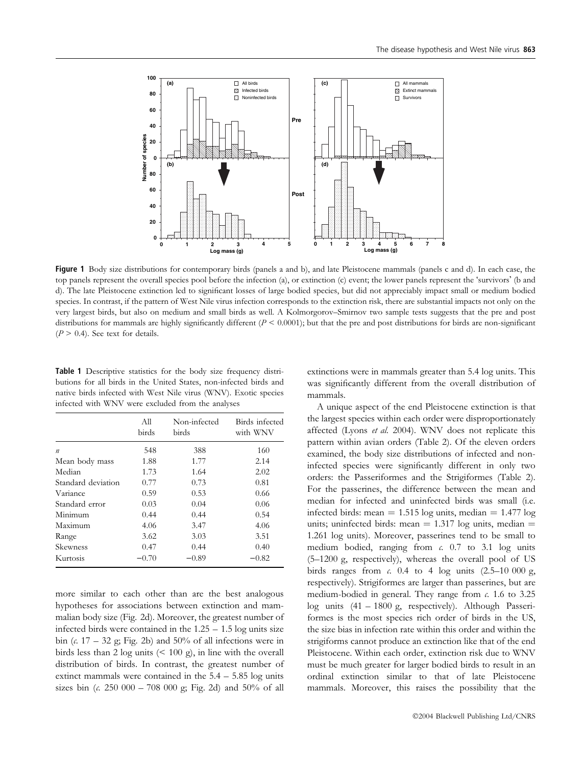

Figure 1 Body size distributions for contemporary birds (panels a and b), and late Pleistocene mammals (panels c and d). In each case, the top panels represent the overall species pool before the infection (a), or extinction (c) event; the lower panels represent the 'survivors' (b and d). The late Pleistocene extinction led to significant losses of large bodied species, but did not appreciably impact small or medium bodied species. In contrast, if the pattern of West Nile virus infection corresponds to the extinction risk, there are substantial impacts not only on the very largest birds, but also on medium and small birds as well. A Kolmorgorov–Smirnov two sample tests suggests that the pre and post distributions for mammals are highly significantly different ( $P < 0.0001$ ); but that the pre and post distributions for birds are non-significant  $(P > 0.4)$ . See text for details.

Table 1 Descriptive statistics for the body size frequency distributions for all birds in the United States, non-infected birds and native birds infected with West Nile virus (WNV). Exotic species infected with WNV were excluded from the analyses

|                    | All<br>birds | Non-infected<br>birds | Birds infected<br>with WNV |
|--------------------|--------------|-----------------------|----------------------------|
| $\boldsymbol{n}$   | 548          | 388                   | 160                        |
| Mean body mass     | 1.88         | 1.77                  | 2.14                       |
| Median             | 1.73         | 1.64                  | 2.02                       |
| Standard deviation | 0.77         | 0.73                  | 0.81                       |
| Variance           | 0.59         | 0.53                  | 0.66                       |
| Standard error     | 0.03         | 0.04                  | 0.06                       |
| Minimum            | 0.44         | 0.44                  | 0.54                       |
| Maximum            | 4.06         | 3.47                  | 4.06                       |
| Range              | 3.62         | 3.03                  | 3.51                       |
| Skewness           | 0.47         | 0.44                  | 0.40                       |
| Kurtosis           | $-0.70$      | $-0.89$               | $-0.82$                    |

more similar to each other than are the best analogous hypotheses for associations between extinction and mammalian body size (Fig. 2d). Moreover, the greatest number of infected birds were contained in the 1.25 – 1.5 log units size bin ( $\alpha$ , 17 – 32 g; Fig. 2b) and 50% of all infections were in birds less than 2 log units (< 100 g), in line with the overall distribution of birds. In contrast, the greatest number of extinct mammals were contained in the 5.4 – 5.85 log units sizes bin ( $c$ . 250 000 – 708 000 g; Fig. 2d) and 50% of all

extinctions were in mammals greater than 5.4 log units. This was significantly different from the overall distribution of mammals.

A unique aspect of the end Pleistocene extinction is that the largest species within each order were disproportionately affected (Lyons et al. 2004). WNV does not replicate this pattern within avian orders (Table 2). Of the eleven orders examined, the body size distributions of infected and noninfected species were significantly different in only two orders: the Passeriformes and the Strigiformes (Table 2). For the passerines, the difference between the mean and median for infected and uninfected birds was small (i.e. infected birds: mean  $= 1.515 \log \frac{\text{units}}{\text{units}}$ , median  $= 1.477 \log \frac{1.477 \log \frac{1.477}{1.41}}{1.477 \log \frac{1.477}{1.41}}$ units; uninfected birds: mean  $= 1.317$  log units, median  $=$ 1.261 log units). Moreover, passerines tend to be small to medium bodied, ranging from  $c$ . 0.7 to 3.1 log units (5–1200 g, respectively), whereas the overall pool of US birds ranges from c. 0.4 to 4 log units  $(2.5-10\ 000\ g,$ respectively). Strigiformes are larger than passerines, but are medium-bodied in general. They range from  $\alpha$  1.6 to 3.25 log units (41 – 1800 g, respectively). Although Passeriformes is the most species rich order of birds in the US, the size bias in infection rate within this order and within the strigiforms cannot produce an extinction like that of the end Pleistocene. Within each order, extinction risk due to WNV must be much greater for larger bodied birds to result in an ordinal extinction similar to that of late Pleistocene mammals. Moreover, this raises the possibility that the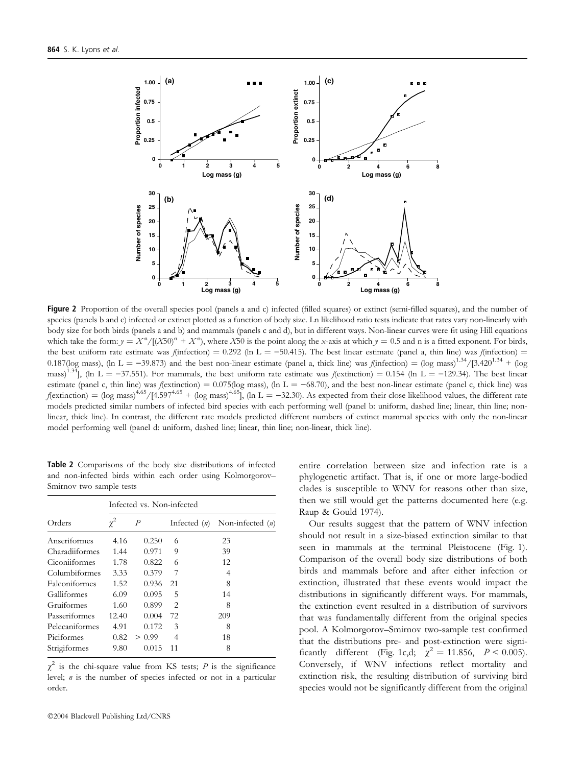

Figure 2 Proportion of the overall species pool (panels a and c) infected (filled squares) or extinct (semi-filled squares), and the number of species (panels b and c) infected or extinct plotted as a function of body size. Ln likelihood ratio tests indicate that rates vary non-linearly with body size for both birds (panels a and b) and mammals (panels c and d), but in different ways. Non-linear curves were fit using Hill equations which take the form:  $y = X^{n}/[(X50)^{n} + X^{n})$ , where X50 is the point along the x-axis at which  $y = 0.5$  and n is a fitted exponent. For birds, the best uniform rate estimate was f(infection) = 0.292 (ln L = -50.415). The best linear estimate (panel a, thin line) was f(infection) = 0.187(log mass), (ln L = -39.873) and the best non-linear estimate (panel a, thick line) was f(infection) = (log mass)<sup>1.34</sup>/[3.420<sup>1.34</sup> + (log mass)<sup>1.34</sup>], (ln L = -37.551). For mammals, the best uniform rate estimate was f(extinction) = 0.154 (ln L = -129.34). The best linear estimate (panel c, thin line) was f(extinction) =  $0.075$ (log mass), (ln L = -68.70), and the best non-linear estimate (panel c, thick line) was  $f$ (extinction) = (log mass)<sup>4.65</sup>/[4.597<sup>4.65</sup> + (log mass)<sup>4.65</sup>], (ln L = -32.30). As expected from their close likelihood values, the different rate models predicted similar numbers of infected bird species with each performing well (panel b: uniform, dashed line; linear, thin line; nonlinear, thick line). In contrast, the different rate models predicted different numbers of extinct mammal species with only the non-linear model performing well (panel d: uniform, dashed line; linear, thin line; non-linear, thick line).

|                | Infected vs. Non-infected |                |                |                    |  |
|----------------|---------------------------|----------------|----------------|--------------------|--|
| Orders         | $\chi^2$                  | $\overline{P}$ | Infected $(n)$ | Non-infected $(n)$ |  |
| Anseriformes   | 4.16                      | 0.250          | 6              | 23                 |  |
| Charadiiformes | 1.44                      | 0.971          | 9              | 39                 |  |
| Ciconiiformes  | 1.78                      | 0.822          | 6              | 12                 |  |
| Columbiformes  | 3.33                      | 0.379          | 7              | 4                  |  |
| Falconiformes  | 1.52                      | 0.936          | 21             | 8                  |  |
| Galliformes    | 6.09                      | 0.095          | 5              | 14                 |  |
| Gruiformes     | 1.60                      | 0.899          | 2              | 8                  |  |
| Passeriformes  | 12.40                     | 0.004          | 72             | 209                |  |
| Pelecaniformes | 4.91                      | 0.172          | 3              | 8                  |  |
| Piciformes     | 0.82                      | > 0.99         | 4              | 18                 |  |
| Strigiformes   | 9.80                      | 0.015          | 11             | 8                  |  |

Table 2 Comparisons of the body size distributions of infected and non-infected birds within each order using Kolmorgorov– Smirnov two sample tests

 $\gamma^2$  is the chi-square value from KS tests; P is the significance level; n is the number of species infected or not in a particular order.

entire correlation between size and infection rate is a phylogenetic artifact. That is, if one or more large-bodied clades is susceptible to WNV for reasons other than size, then we still would get the patterns documented here (e.g. Raup & Gould 1974).

Our results suggest that the pattern of WNV infection should not result in a size-biased extinction similar to that seen in mammals at the terminal Pleistocene (Fig. 1). Comparison of the overall body size distributions of both birds and mammals before and after either infection or extinction, illustrated that these events would impact the distributions in significantly different ways. For mammals, the extinction event resulted in a distribution of survivors that was fundamentally different from the original species pool. A Kolmorgorov–Smirnov two-sample test confirmed that the distributions pre- and post-extinction were significantly different (Fig. 1c,d;  $\chi^2 = 11.856$ ,  $P < 0.005$ ). Conversely, if WNV infections reflect mortality and extinction risk, the resulting distribution of surviving bird species would not be significantly different from the original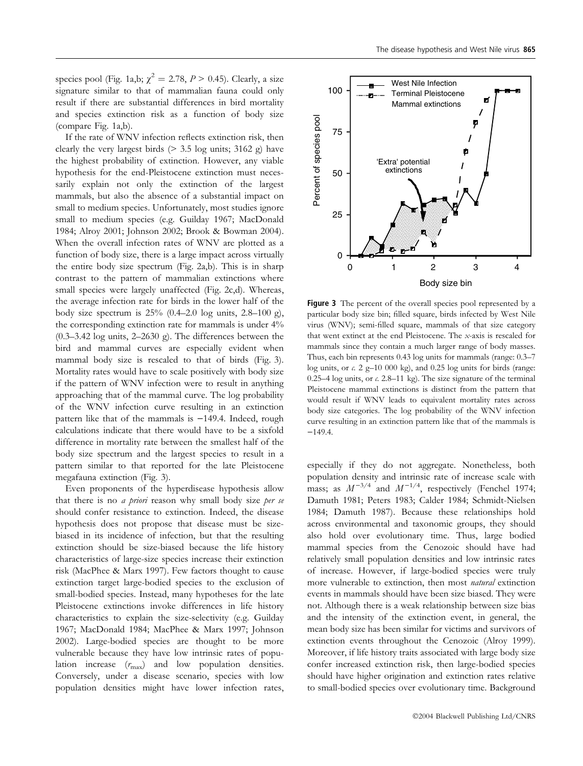species pool (Fig. 1a,b;  $\chi^2 = 2.78$ ,  $P > 0.45$ ). Clearly, a size signature similar to that of mammalian fauna could only result if there are substantial differences in bird mortality and species extinction risk as a function of body size (compare Fig. 1a,b).

If the rate of WNV infection reflects extinction risk, then clearly the very largest birds (> 3.5 log units; 3162 g) have the highest probability of extinction. However, any viable hypothesis for the end-Pleistocene extinction must necessarily explain not only the extinction of the largest mammals, but also the absence of a substantial impact on small to medium species. Unfortunately, most studies ignore small to medium species (e.g. Guilday 1967; MacDonald 1984; Alroy 2001; Johnson 2002; Brook & Bowman 2004). When the overall infection rates of WNV are plotted as a function of body size, there is a large impact across virtually the entire body size spectrum (Fig. 2a,b). This is in sharp contrast to the pattern of mammalian extinctions where small species were largely unaffected (Fig. 2c,d). Whereas, the average infection rate for birds in the lower half of the body size spectrum is  $25\%$  (0.4–2.0 log units, 2.8–100 g), the corresponding extinction rate for mammals is under 4% (0.3–3.42 log units, 2–2630 g). The differences between the bird and mammal curves are especially evident when mammal body size is rescaled to that of birds (Fig. 3). Mortality rates would have to scale positively with body size if the pattern of WNV infection were to result in anything approaching that of the mammal curve. The log probability of the WNV infection curve resulting in an extinction pattern like that of the mammals is  $-149.4$ . Indeed, rough calculations indicate that there would have to be a sixfold difference in mortality rate between the smallest half of the body size spectrum and the largest species to result in a pattern similar to that reported for the late Pleistocene megafauna extinction (Fig. 3).

Even proponents of the hyperdisease hypothesis allow that there is no *a priori* reason why small body size *per se* should confer resistance to extinction. Indeed, the disease hypothesis does not propose that disease must be sizebiased in its incidence of infection, but that the resulting extinction should be size-biased because the life history characteristics of large-size species increase their extinction risk (MacPhee & Marx 1997). Few factors thought to cause extinction target large-bodied species to the exclusion of small-bodied species. Instead, many hypotheses for the late Pleistocene extinctions invoke differences in life history characteristics to explain the size-selectivity (e.g. Guilday 1967; MacDonald 1984; MacPhee & Marx 1997; Johnson 2002). Large-bodied species are thought to be more vulnerable because they have low intrinsic rates of population increase  $(r_{\text{max}})$  and low population densities. Conversely, under a disease scenario, species with low population densities might have lower infection rates,



Figure 3 The percent of the overall species pool represented by a particular body size bin; filled square, birds infected by West Nile virus (WNV); semi-filled square, mammals of that size category that went extinct at the end Pleistocene. The x-axis is rescaled for mammals since they contain a much larger range of body masses. Thus, each bin represents 0.43 log units for mammals (range: 0.3–7 log units, or  $c$ . 2 g-10 000 kg), and 0.25 log units for birds (range: 0.25–4 log units, or  $\alpha$  2.8–11 kg). The size signature of the terminal Pleistocene mammal extinctions is distinct from the pattern that would result if WNV leads to equivalent mortality rates across body size categories. The log probability of the WNV infection curve resulting in an extinction pattern like that of the mammals is  $-149.4.$ 

especially if they do not aggregate. Nonetheless, both population density and intrinsic rate of increase scale with mass; as  $M^{-3/4}$  and  $M^{-1/4}$ , respectively (Fenchel 1974; Damuth 1981; Peters 1983; Calder 1984; Schmidt-Nielsen 1984; Damuth 1987). Because these relationships hold across environmental and taxonomic groups, they should also hold over evolutionary time. Thus, large bodied mammal species from the Cenozoic should have had relatively small population densities and low intrinsic rates of increase. However, if large-bodied species were truly more vulnerable to extinction, then most *natural* extinction events in mammals should have been size biased. They were not. Although there is a weak relationship between size bias and the intensity of the extinction event, in general, the mean body size has been similar for victims and survivors of extinction events throughout the Cenozoic (Alroy 1999). Moreover, if life history traits associated with large body size confer increased extinction risk, then large-bodied species should have higher origination and extinction rates relative to small-bodied species over evolutionary time. Background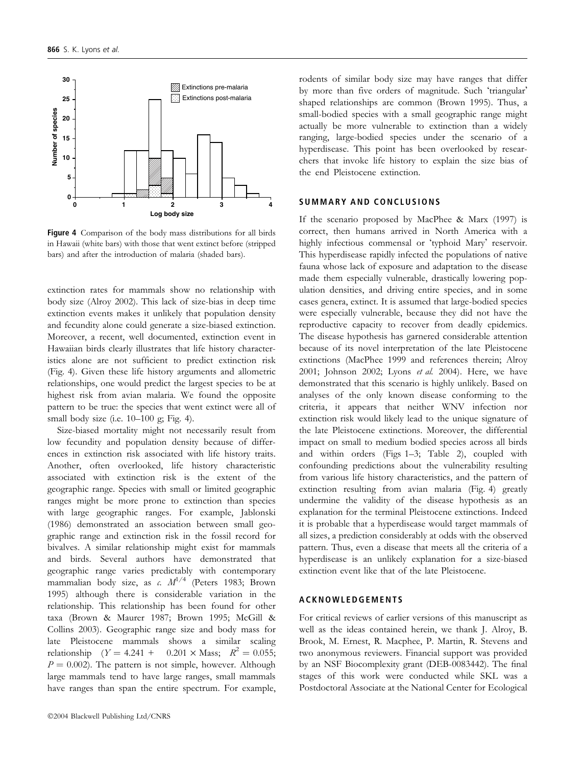

Figure 4 Comparison of the body mass distributions for all birds in Hawaii (white bars) with those that went extinct before (stripped bars) and after the introduction of malaria (shaded bars).

extinction rates for mammals show no relationship with body size (Alroy 2002). This lack of size-bias in deep time extinction events makes it unlikely that population density and fecundity alone could generate a size-biased extinction. Moreover, a recent, well documented, extinction event in Hawaiian birds clearly illustrates that life history characteristics alone are not sufficient to predict extinction risk (Fig. 4). Given these life history arguments and allometric relationships, one would predict the largest species to be at highest risk from avian malaria. We found the opposite pattern to be true: the species that went extinct were all of small body size (i.e.  $10-100$  g; Fig. 4).

Size-biased mortality might not necessarily result from low fecundity and population density because of differences in extinction risk associated with life history traits. Another, often overlooked, life history characteristic associated with extinction risk is the extent of the geographic range. Species with small or limited geographic ranges might be more prone to extinction than species with large geographic ranges. For example, Jablonski (1986) demonstrated an association between small geographic range and extinction risk in the fossil record for bivalves. A similar relationship might exist for mammals and birds. Several authors have demonstrated that geographic range varies predictably with contemporary mammalian body size, as c.  $M^{1/4}$  (Peters 1983; Brown 1995) although there is considerable variation in the relationship. This relationship has been found for other taxa (Brown & Maurer 1987; Brown 1995; McGill & Collins 2003). Geographic range size and body mass for late Pleistocene mammals shows a similar scaling relationship  $(Y = 4.241 + 0.201 \times \text{Mass}; \quad R^2 = 0.055;$  $P = 0.002$ ). The pattern is not simple, however. Although large mammals tend to have large ranges, small mammals have ranges than span the entire spectrum. For example, rodents of similar body size may have ranges that differ by more than five orders of magnitude. Such 'triangular' shaped relationships are common (Brown 1995). Thus, a small-bodied species with a small geographic range might actually be more vulnerable to extinction than a widely ranging, large-bodied species under the scenario of a hyperdisease. This point has been overlooked by researchers that invoke life history to explain the size bias of the end Pleistocene extinction.

#### SUMMARY AND CONCLUSIONS

If the scenario proposed by MacPhee & Marx (1997) is correct, then humans arrived in North America with a highly infectious commensal or 'typhoid Mary' reservoir. This hyperdisease rapidly infected the populations of native fauna whose lack of exposure and adaptation to the disease made them especially vulnerable, drastically lowering population densities, and driving entire species, and in some cases genera, extinct. It is assumed that large-bodied species were especially vulnerable, because they did not have the reproductive capacity to recover from deadly epidemics. The disease hypothesis has garnered considerable attention because of its novel interpretation of the late Pleistocene extinctions (MacPhee 1999 and references therein; Alroy 2001; Johnson 2002; Lyons et al. 2004). Here, we have demonstrated that this scenario is highly unlikely. Based on analyses of the only known disease conforming to the criteria, it appears that neither WNV infection nor extinction risk would likely lead to the unique signature of the late Pleistocene extinctions. Moreover, the differential impact on small to medium bodied species across all birds and within orders (Figs 1–3; Table 2), coupled with confounding predictions about the vulnerability resulting from various life history characteristics, and the pattern of extinction resulting from avian malaria (Fig. 4) greatly undermine the validity of the disease hypothesis as an explanation for the terminal Pleistocene extinctions. Indeed it is probable that a hyperdisease would target mammals of all sizes, a prediction considerably at odds with the observed pattern. Thus, even a disease that meets all the criteria of a hyperdisease is an unlikely explanation for a size-biased extinction event like that of the late Pleistocene.

#### ACKNOWLEDGEMENTS

For critical reviews of earlier versions of this manuscript as well as the ideas contained herein, we thank J. Alroy, B. Brook, M. Ernest, R. Macphee, P. Martin, R. Stevens and two anonymous reviewers. Financial support was provided by an NSF Biocomplexity grant (DEB-0083442). The final stages of this work were conducted while SKL was a Postdoctoral Associate at the National Center for Ecological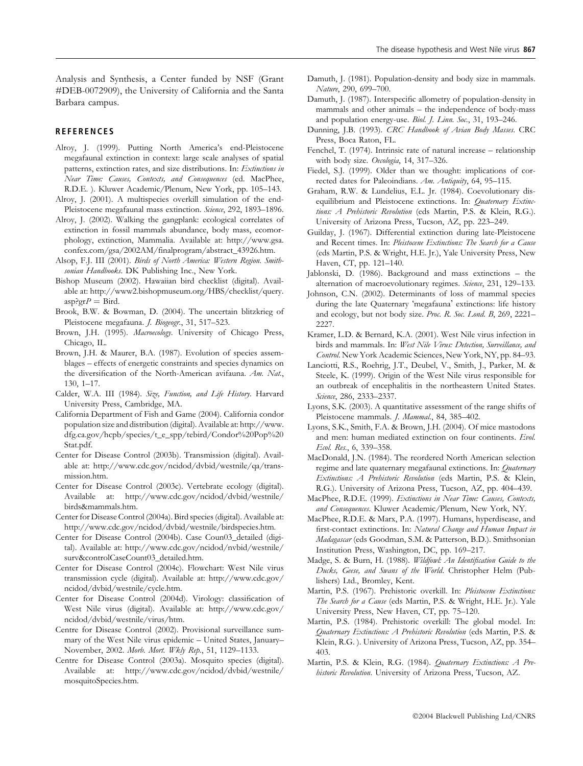Analysis and Synthesis, a Center funded by NSF (Grant #DEB-0072909), the University of California and the Santa Barbara campus.

## **REFERENCES**

- Alroy, J. (1999). Putting North America's end-Pleistocene megafaunal extinction in context: large scale analyses of spatial patterns, extinction rates, and size distributions. In: Extinctions in Near Time: Causes, Contexts, and Consequences (ed. MacPhee, R.D.E. ). Kluwer Academic/Plenum, New York, pp. 105–143.
- Alroy, J. (2001). A multispecies overkill simulation of the end-Pleistocene megafaunal mass extinction. Science, 292, 1893–1896.
- Alroy, J. (2002). Walking the gangplank: ecological correlates of extinction in fossil mammals abundance, body mass, ecomorphology, extinction, Mammalia. Available at: http://www.gsa. confex.com/gsa/2002AM/finalprogram/abstract\_43926.htm.
- Alsop, F.J. III (2001). Birds of North America: Western Region. Smithsonian Handbooks. DK Publishing Inc., New York.
- Bishop Museum (2002). Hawaiian bird checklist (digital). Available at: http://www2.bishopmuseum.org/HBS/checklist/query. asp?gr $P =$ Bird.
- Brook, B.W. & Bowman, D. (2004). The uncertain blitzkrieg of Pleistocene megafauna. J. Biogeogr., 31, 517–523.
- Brown, J.H. (1995). Macroecology. University of Chicago Press, Chicago, IL.
- Brown, J.H. & Maurer, B.A. (1987). Evolution of species assemblages – effects of energetic constraints and species dynamics on the diversification of the North-American avifauna. Am. Nat., 130, 1–17.
- Calder, W.A. III (1984). Size, Function, and Life History. Harvard University Press, Cambridge, MA.
- California Department of Fish and Game (2004). California condor population size and distribution (digital). Available at: http://www. dfg.ca.gov/hcpb/species/t\_e\_spp/tebird/Condor%20Pop%20 Stat.pdf.
- Center for Disease Control (2003b). Transmission (digital). Available at: http://www.cdc.gov/ncidod/dvbid/westnile/qa/transmission.htm.
- Center for Disease Control (2003c). Vertebrate ecology (digital). Available at: http://www.cdc.gov/ncidod/dvbid/westnile/ birds&mammals.htm.
- Center for Disease Control (2004a). Bird species (digital). Available at: http://www.cdc.gov/ncidod/dvbid/westnile/birdspecies.htm.
- Center for Disease Control (2004b). Case Coun03\_detailed (digital). Available at: http://www.cdc.gov/ncidod/nvbid/westnile/ surv&controlCaseCount03\_detailed.htm.
- Center for Disease Control (2004c). Flowchart: West Nile virus transmission cycle (digital). Available at: http://www.cdc.gov/ ncidod/dvbid/westnile/cycle.htm.
- Center for Disease Control (2004d). Virology: classification of West Nile virus (digital). Available at: http://www.cdc.gov/ ncidod/dvbid/westnile/virus/htm.
- Centre for Disease Control (2002). Provisional surveillance summary of the West Nile virus epidemic – United States, January– November, 2002. Morb. Mort. Wkly Rep., 51, 1129–1133.
- Centre for Disease Control (2003a). Mosquito species (digital). Available at: http://www.cdc.gov/ncidod/dvbid/westnile/ mosquitoSpecies.htm.
- Damuth, J. (1981). Population-density and body size in mammals. Nature, 290, 699–700.
- Damuth, J. (1987). Interspecific allometry of population-density in mammals and other animals – the independence of body-mass and population energy-use. Biol. J. Linn. Soc., 31, 193-246.
- Dunning, J.B. (1993). CRC Handbook of Avian Body Masses. CRC Press, Boca Raton, FL.
- Fenchel, T. (1974). Intrinsic rate of natural increase relationship with body size. Oecologia, 14, 317-326.
- Fiedel, S.J. (1999). Older than we thought: implications of corrected dates for Paleoindians. Am. Antiquity, 64, 95–115.
- Graham, R.W. & Lundelius, E.L. Jr. (1984). Coevolutionary disequilibrium and Pleistocene extinctions. In: Quaternary Extinctions: A Prehistoric Revolution (eds Martin, P.S. & Klein, R.G.). University of Arizona Press, Tucson, AZ, pp. 223–249.
- Guilday, J. (1967). Differential extinction during late-Pleistocene and Recent times. In: Pleistocene Extinctions: The Search for a Cause (eds Martin, P.S. & Wright, H.E. Jr.), Yale University Press, New Haven, CT, pp. 121–140.
- Jablonski, D. (1986). Background and mass extinctions the alternation of macroevolutionary regimes. Science, 231, 129–133.
- Johnson, C.N. (2002). Determinants of loss of mammal species during the late Quaternary 'megafauna' extinctions: life history and ecology, but not body size. Proc. R. Soc. Lond. B, 269, 2221– 2227.
- Kramer, L.D. & Bernard, K.A. (2001). West Nile virus infection in birds and mammals. In: West Nile Virus: Detection, Surveillance, and Control. New York Academic Sciences, New York, NY, pp. 84–93.
- Lanciotti, R.S., Roehrig, J.T., Deubel, V., Smith, J., Parker, M. & Steele, K. (1999). Origin of the West Nile virus responsible for an outbreak of encephalitis in the northeastern United States. Science, 286, 2333-2337.
- Lyons, S.K. (2003). A quantitative assessment of the range shifts of Pleistocene mammals. J. Mammal., 84, 385–402.
- Lyons, S.K., Smith, F.A. & Brown, J.H. (2004). Of mice mastodons and men: human mediated extinction on four continents. Evol. Ecol. Res., 6, 339–358.
- MacDonald, J.N. (1984). The reordered North American selection regime and late quaternary megafaunal extinctions. In: Quaternary Extinctions: A Prehistoric Revolution (eds Martin, P.S. & Klein, R.G.). University of Arizona Press, Tucson, AZ, pp. 404–439.
- MacPhee, R.D.E. (1999). Extinctions in Near Time: Causes, Contexts, and Consequences. Kluwer Academic/Plenum, New York, NY.
- MacPhee, R.D.E. & Marx, P.A. (1997). Humans, hyperdisease, and first-contact extinctions. In: Natural Change and Human Impact in Madagascar (eds Goodman, S.M. & Patterson, B.D.). Smithsonian Institution Press, Washington, DC, pp. 169–217.
- Madge, S. & Burn, H. (1988). Wildfowl: An Identification Guide to the Ducks, Geese, and Swans of the World. Christopher Helm (Publishers) Ltd., Bromley, Kent.
- Martin, P.S. (1967). Prehistoric overkill. In: Pleistocene Extinctions: The Search for a Cause (eds Martin, P.S. & Wright, H.E. Jr.). Yale University Press, New Haven, CT, pp. 75–120.
- Martin, P.S. (1984). Prehistoric overkill: The global model. In: Quaternary Extinctions: A Prehistoric Revolution (eds Martin, P.S. & Klein, R.G. ). University of Arizona Press, Tucson, AZ, pp. 354– 403.
- Martin, P.S. & Klein, R.G. (1984). Quaternary Extinctions: A Prehistoric Revolution. University of Arizona Press, Tucson, AZ.